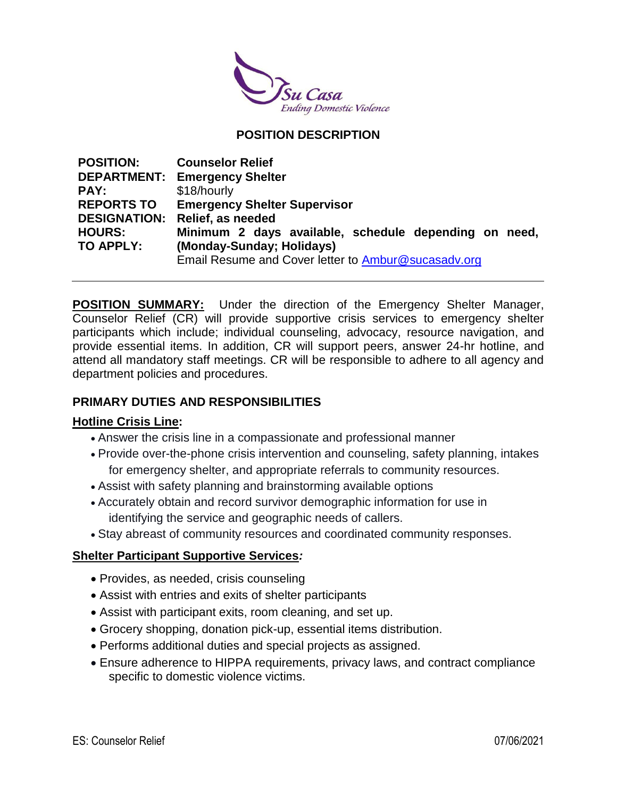

# **POSITION DESCRIPTION**

| <b>POSITION:</b>  | <b>Counselor Relief</b>                               |
|-------------------|-------------------------------------------------------|
|                   | <b>DEPARTMENT: Emergency Shelter</b>                  |
| PAY:              | \$18/hourly                                           |
| <b>REPORTS TO</b> | <b>Emergency Shelter Supervisor</b>                   |
|                   | <b>DESIGNATION: Relief, as needed</b>                 |
| <b>HOURS:</b>     | Minimum 2 days available, schedule depending on need, |
| TO APPLY:         | (Monday-Sunday; Holidays)                             |
|                   | Email Resume and Cover letter to Ambur@sucasadv.org   |

**POSITION SUMMARY:** Under the direction of the Emergency Shelter Manager, Counselor Relief (CR) will provide supportive crisis services to emergency shelter participants which include; individual counseling, advocacy, resource navigation, and provide essential items. In addition, CR will support peers, answer 24-hr hotline, and attend all mandatory staff meetings. CR will be responsible to adhere to all agency and department policies and procedures.

### **PRIMARY DUTIES AND RESPONSIBILITIES**

#### **Hotline Crisis Line:**

- Answer the crisis line in a compassionate and professional manner
- Provide over-the-phone crisis intervention and counseling, safety planning, intakes for emergency shelter, and appropriate referrals to community resources.
- Assist with safety planning and brainstorming available options
- Accurately obtain and record survivor demographic information for use in identifying the service and geographic needs of callers.
- Stay abreast of community resources and coordinated community responses.

### **Shelter Participant Supportive Services***:*

- Provides, as needed, crisis counseling
- Assist with entries and exits of shelter participants
- Assist with participant exits, room cleaning, and set up.
- Grocery shopping, donation pick-up, essential items distribution.
- Performs additional duties and special projects as assigned.
- Ensure adherence to HIPPA requirements, privacy laws, and contract compliance specific to domestic violence victims.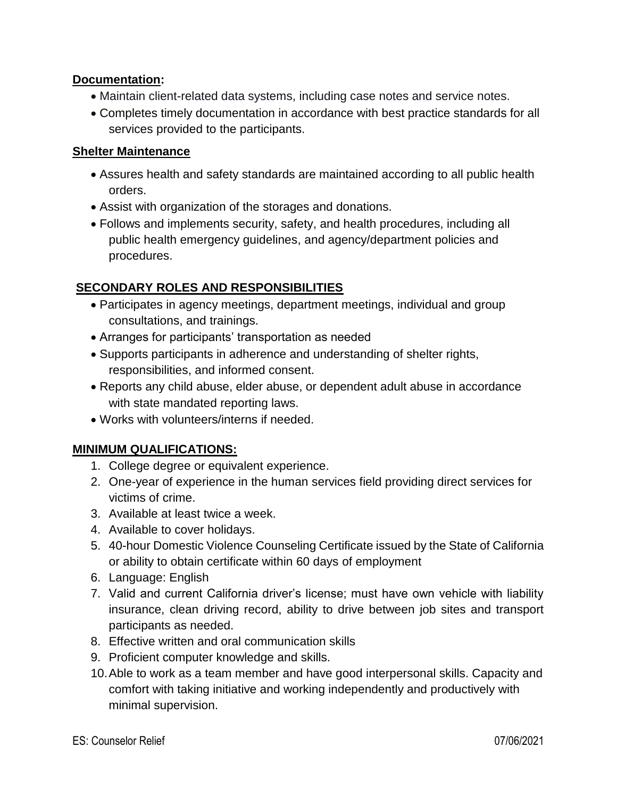## **Documentation:**

- Maintain client-related data systems, including case notes and service notes.
- Completes timely documentation in accordance with best practice standards for all services provided to the participants.

# **Shelter Maintenance**

- Assures health and safety standards are maintained according to all public health orders.
- Assist with organization of the storages and donations.
- Follows and implements security, safety, and health procedures, including all public health emergency guidelines, and agency/department policies and procedures.

# **SECONDARY ROLES AND RESPONSIBILITIES**

- Participates in agency meetings, department meetings, individual and group consultations, and trainings.
- Arranges for participants' transportation as needed
- Supports participants in adherence and understanding of shelter rights, responsibilities, and informed consent.
- Reports any child abuse, elder abuse, or dependent adult abuse in accordance with state mandated reporting laws.
- Works with volunteers/interns if needed.

# **MINIMUM QUALIFICATIONS:**

- 1. College degree or equivalent experience.
- 2. One-year of experience in the human services field providing direct services for victims of crime.
- 3. Available at least twice a week.
- 4. Available to cover holidays.
- 5. 40-hour Domestic Violence Counseling Certificate issued by the State of California or ability to obtain certificate within 60 days of employment
- 6. Language: English
- 7. Valid and current California driver's license; must have own vehicle with liability insurance, clean driving record, ability to drive between job sites and transport participants as needed.
- 8. Effective written and oral communication skills
- 9. Proficient computer knowledge and skills.
- 10.Able to work as a team member and have good interpersonal skills. Capacity and comfort with taking initiative and working independently and productively with minimal supervision.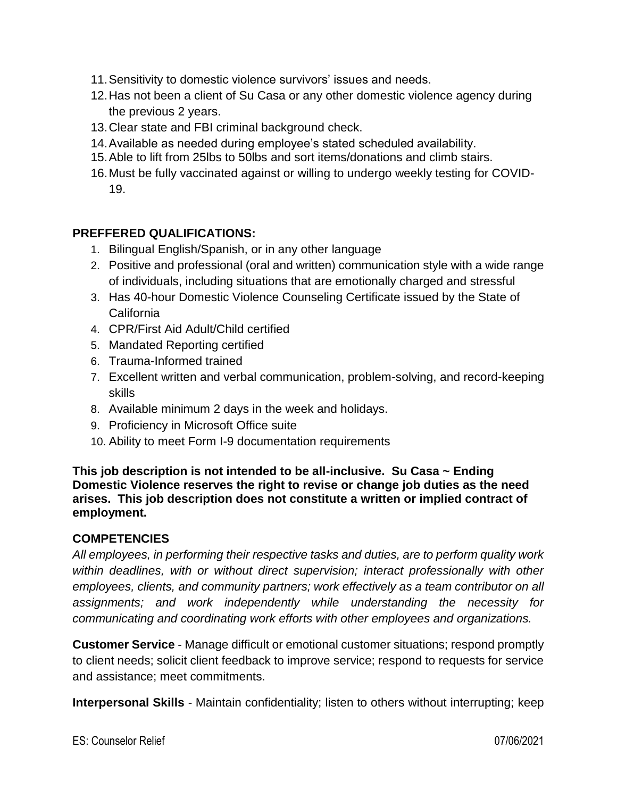- 11.Sensitivity to domestic violence survivors' issues and needs.
- 12.Has not been a client of Su Casa or any other domestic violence agency during the previous 2 years.
- 13.Clear state and FBI criminal background check.
- 14.Available as needed during employee's stated scheduled availability.
- 15.Able to lift from 25lbs to 50lbs and sort items/donations and climb stairs.
- 16.Must be fully vaccinated against or willing to undergo weekly testing for COVID-19.

# **PREFFERED QUALIFICATIONS:**

- 1. Bilingual English/Spanish, or in any other language
- 2. Positive and professional (oral and written) communication style with a wide range of individuals, including situations that are emotionally charged and stressful
- 3. Has 40-hour Domestic Violence Counseling Certificate issued by the State of California
- 4. CPR/First Aid Adult/Child certified
- 5. Mandated Reporting certified
- 6. Trauma-Informed trained
- 7. Excellent written and verbal communication, problem-solving, and record-keeping skills
- 8. Available minimum 2 days in the week and holidays.
- 9. Proficiency in Microsoft Office suite
- 10. Ability to meet Form I-9 documentation requirements

**This job description is not intended to be all-inclusive. Su Casa ~ Ending Domestic Violence reserves the right to revise or change job duties as the need arises. This job description does not constitute a written or implied contract of employment.**

### **COMPETENCIES**

*All employees, in performing their respective tasks and duties, are to perform quality work within deadlines, with or without direct supervision; interact professionally with other employees, clients, and community partners; work effectively as a team contributor on all assignments; and work independently while understanding the necessity for communicating and coordinating work efforts with other employees and organizations.*

**Customer Service** - Manage difficult or emotional customer situations; respond promptly to client needs; solicit client feedback to improve service; respond to requests for service and assistance; meet commitments.

**Interpersonal Skills** - Maintain confidentiality; listen to others without interrupting; keep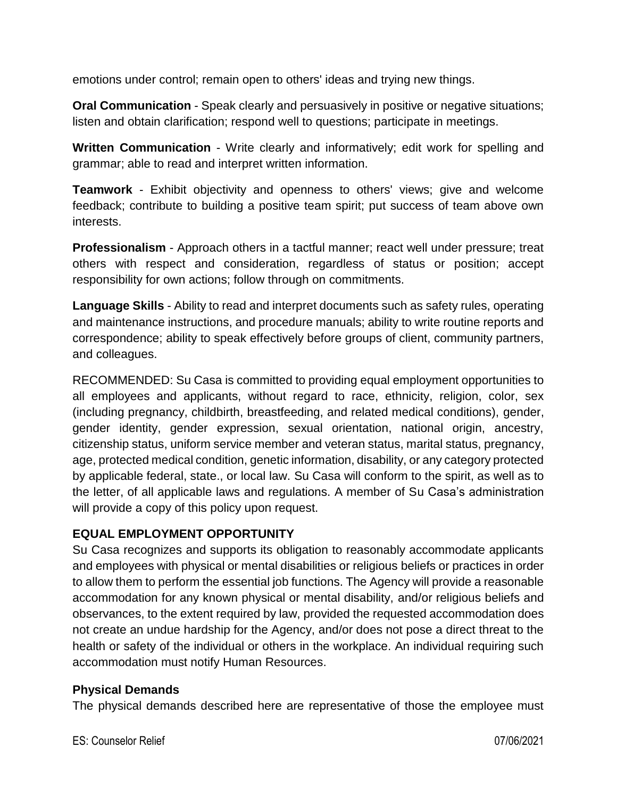emotions under control; remain open to others' ideas and trying new things.

**Oral Communication** - Speak clearly and persuasively in positive or negative situations; listen and obtain clarification; respond well to questions; participate in meetings.

**Written Communication** - Write clearly and informatively; edit work for spelling and grammar; able to read and interpret written information.

**Teamwork** - Exhibit objectivity and openness to others' views; give and welcome feedback; contribute to building a positive team spirit; put success of team above own interests.

**Professionalism** - Approach others in a tactful manner; react well under pressure; treat others with respect and consideration, regardless of status or position; accept responsibility for own actions; follow through on commitments.

**Language Skills** - Ability to read and interpret documents such as safety rules, operating and maintenance instructions, and procedure manuals; ability to write routine reports and correspondence; ability to speak effectively before groups of client, community partners, and colleagues.

RECOMMENDED: Su Casa is committed to providing equal employment opportunities to all employees and applicants, without regard to race, ethnicity, religion, color, sex (including pregnancy, childbirth, breastfeeding, and related medical conditions), gender, gender identity, gender expression, sexual orientation, national origin, ancestry, citizenship status, uniform service member and veteran status, marital status, pregnancy, age, protected medical condition, genetic information, disability, or any category protected by applicable federal, state., or local law. Su Casa will conform to the spirit, as well as to the letter, of all applicable laws and regulations. A member of Su Casa's administration will provide a copy of this policy upon request.

# **EQUAL EMPLOYMENT OPPORTUNITY**

Su Casa recognizes and supports its obligation to reasonably accommodate applicants and employees with physical or mental disabilities or religious beliefs or practices in order to allow them to perform the essential job functions. The Agency will provide a reasonable accommodation for any known physical or mental disability, and/or religious beliefs and observances, to the extent required by law, provided the requested accommodation does not create an undue hardship for the Agency, and/or does not pose a direct threat to the health or safety of the individual or others in the workplace. An individual requiring such accommodation must notify Human Resources.

### **Physical Demands**

The physical demands described here are representative of those the employee must